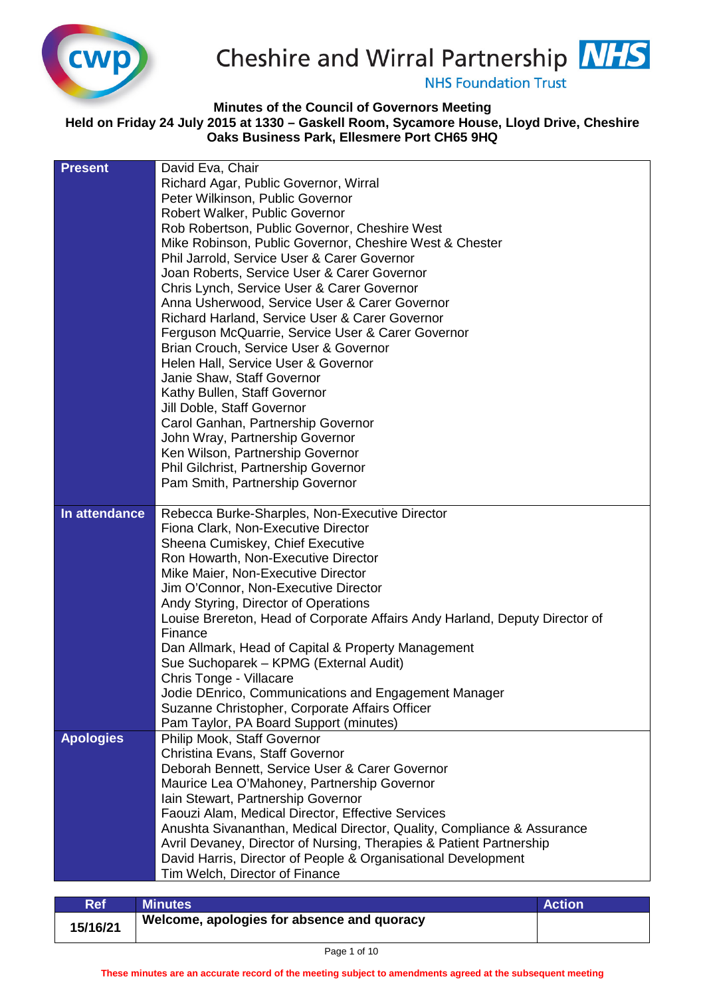



**NHS Foundation Trust** 

## **Minutes of the Council of Governors Meeting**

## **Held on Friday 24 July 2015 at 1330 – Gaskell Room, Sycamore House, Lloyd Drive, Cheshire Oaks Business Park, Ellesmere Port CH65 9HQ**

| <b>Present</b>   | David Eva, Chair                                                                              |
|------------------|-----------------------------------------------------------------------------------------------|
|                  | Richard Agar, Public Governor, Wirral                                                         |
|                  | Peter Wilkinson, Public Governor                                                              |
|                  | Robert Walker, Public Governor                                                                |
|                  | Rob Robertson, Public Governor, Cheshire West                                                 |
|                  | Mike Robinson, Public Governor, Cheshire West & Chester                                       |
|                  | Phil Jarrold, Service User & Carer Governor                                                   |
|                  | Joan Roberts, Service User & Carer Governor                                                   |
|                  | Chris Lynch, Service User & Carer Governor                                                    |
|                  | Anna Usherwood, Service User & Carer Governor                                                 |
|                  | Richard Harland, Service User & Carer Governor                                                |
|                  | Ferguson McQuarrie, Service User & Carer Governor                                             |
|                  | Brian Crouch, Service User & Governor                                                         |
|                  | Helen Hall, Service User & Governor                                                           |
|                  | Janie Shaw, Staff Governor                                                                    |
|                  | Kathy Bullen, Staff Governor                                                                  |
|                  | Jill Doble, Staff Governor                                                                    |
|                  | Carol Ganhan, Partnership Governor                                                            |
|                  | John Wray, Partnership Governor                                                               |
|                  | Ken Wilson, Partnership Governor                                                              |
|                  | Phil Gilchrist, Partnership Governor                                                          |
|                  | Pam Smith, Partnership Governor                                                               |
|                  |                                                                                               |
| In attendance    | Rebecca Burke-Sharples, Non-Executive Director                                                |
|                  | Fiona Clark, Non-Executive Director                                                           |
|                  | Sheena Cumiskey, Chief Executive                                                              |
|                  | Ron Howarth, Non-Executive Director                                                           |
|                  | Mike Maier, Non-Executive Director                                                            |
|                  | Jim O'Connor, Non-Executive Director                                                          |
|                  | Andy Styring, Director of Operations                                                          |
|                  | Louise Brereton, Head of Corporate Affairs Andy Harland, Deputy Director of<br>Finance        |
|                  | Dan Allmark, Head of Capital & Property Management                                            |
|                  | Sue Suchoparek - KPMG (External Audit)                                                        |
|                  | Chris Tonge - Villacare                                                                       |
|                  | Jodie DEnrico, Communications and Engagement Manager                                          |
|                  | Suzanne Christopher, Corporate Affairs Officer                                                |
|                  | Pam Taylor, PA Board Support (minutes)                                                        |
|                  |                                                                                               |
|                  |                                                                                               |
| <b>Apologies</b> | Philip Mook, Staff Governor                                                                   |
|                  | Christina Evans, Staff Governor                                                               |
|                  | Deborah Bennett, Service User & Carer Governor<br>Maurice Lea O'Mahoney, Partnership Governor |
|                  | Iain Stewart, Partnership Governor                                                            |
|                  | Faouzi Alam, Medical Director, Effective Services                                             |
|                  | Anushta Sivananthan, Medical Director, Quality, Compliance & Assurance                        |
|                  | Avril Devaney, Director of Nursing, Therapies & Patient Partnership                           |
|                  | David Harris, Director of People & Organisational Development                                 |
|                  | Tim Welch, Director of Finance                                                                |

| <b>Ref</b> | Minutes \                                  | <b>Action</b> |
|------------|--------------------------------------------|---------------|
| 15/16/21   | Welcome, apologies for absence and quoracy |               |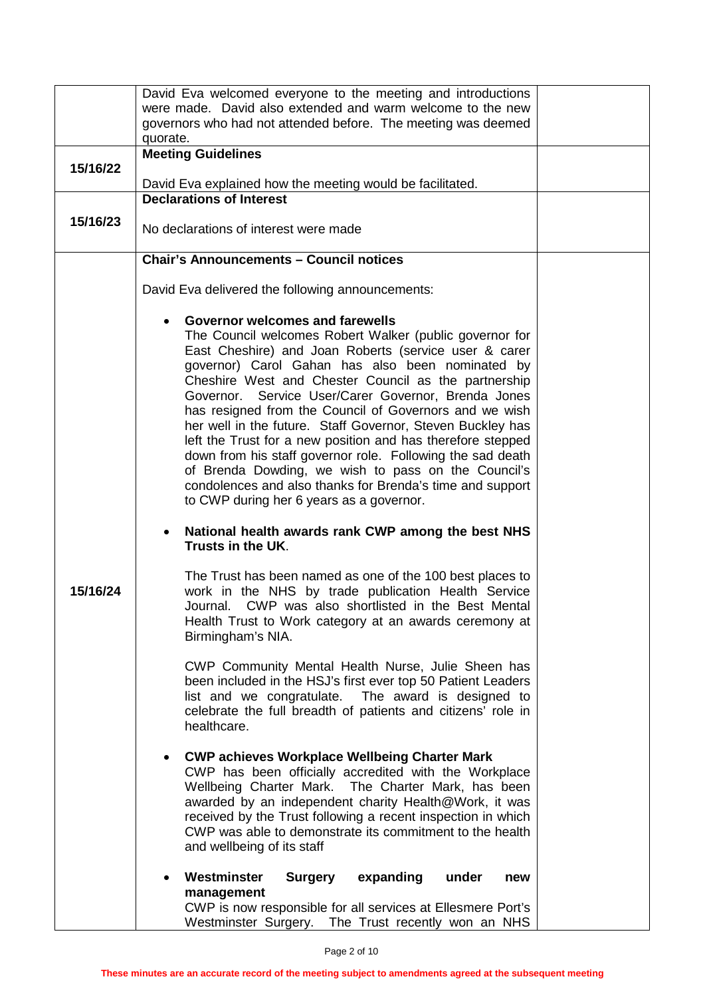|          | David Eva welcomed everyone to the meeting and introductions                          |  |
|----------|---------------------------------------------------------------------------------------|--|
|          | were made. David also extended and warm welcome to the new                            |  |
|          | governors who had not attended before. The meeting was deemed                         |  |
|          | quorate.                                                                              |  |
|          | <b>Meeting Guidelines</b>                                                             |  |
| 15/16/22 |                                                                                       |  |
|          | David Eva explained how the meeting would be facilitated.                             |  |
|          | <b>Declarations of Interest</b>                                                       |  |
| 15/16/23 |                                                                                       |  |
|          | No declarations of interest were made                                                 |  |
|          |                                                                                       |  |
|          | <b>Chair's Announcements - Council notices</b>                                        |  |
|          |                                                                                       |  |
|          | David Eva delivered the following announcements:                                      |  |
|          |                                                                                       |  |
|          | Governor welcomes and farewells                                                       |  |
|          | The Council welcomes Robert Walker (public governor for                               |  |
|          | East Cheshire) and Joan Roberts (service user & carer                                 |  |
|          | governor) Carol Gahan has also been nominated by                                      |  |
|          | Cheshire West and Chester Council as the partnership                                  |  |
|          | Governor. Service User/Carer Governor, Brenda Jones                                   |  |
|          | has resigned from the Council of Governors and we wish                                |  |
|          | her well in the future. Staff Governor, Steven Buckley has                            |  |
|          | left the Trust for a new position and has therefore stepped                           |  |
|          | down from his staff governor role. Following the sad death                            |  |
|          | of Brenda Dowding, we wish to pass on the Council's                                   |  |
|          | condolences and also thanks for Brenda's time and support                             |  |
|          | to CWP during her 6 years as a governor.                                              |  |
|          |                                                                                       |  |
|          | National health awards rank CWP among the best NHS<br>Trusts in the UK.               |  |
|          |                                                                                       |  |
|          | The Trust has been named as one of the 100 best places to                             |  |
| 15/16/24 | work in the NHS by trade publication Health Service                                   |  |
|          | CWP was also shortlisted in the Best Mental<br>Journal.                               |  |
|          | Health Trust to Work category at an awards ceremony at                                |  |
|          | Birmingham's NIA.                                                                     |  |
|          | CWP Community Mental Health Nurse, Julie Sheen has                                    |  |
|          | been included in the HSJ's first ever top 50 Patient Leaders                          |  |
|          | list and we congratulate. The award is designed to                                    |  |
|          | celebrate the full breadth of patients and citizens' role in                          |  |
|          | healthcare.                                                                           |  |
|          |                                                                                       |  |
|          | <b>CWP achieves Workplace Wellbeing Charter Mark</b>                                  |  |
|          | CWP has been officially accredited with the Workplace                                 |  |
|          | Wellbeing Charter Mark. The Charter Mark, has been                                    |  |
|          | awarded by an independent charity Health@Work, it was                                 |  |
|          | received by the Trust following a recent inspection in which                          |  |
|          | CWP was able to demonstrate its commitment to the health                              |  |
|          | and wellbeing of its staff                                                            |  |
|          |                                                                                       |  |
|          | Westminster<br><b>Surgery</b><br>expanding<br>under<br>new<br>$\bullet$<br>management |  |
|          | CWP is now responsible for all services at Ellesmere Port's                           |  |
|          | Westminster Surgery. The Trust recently won an NHS                                    |  |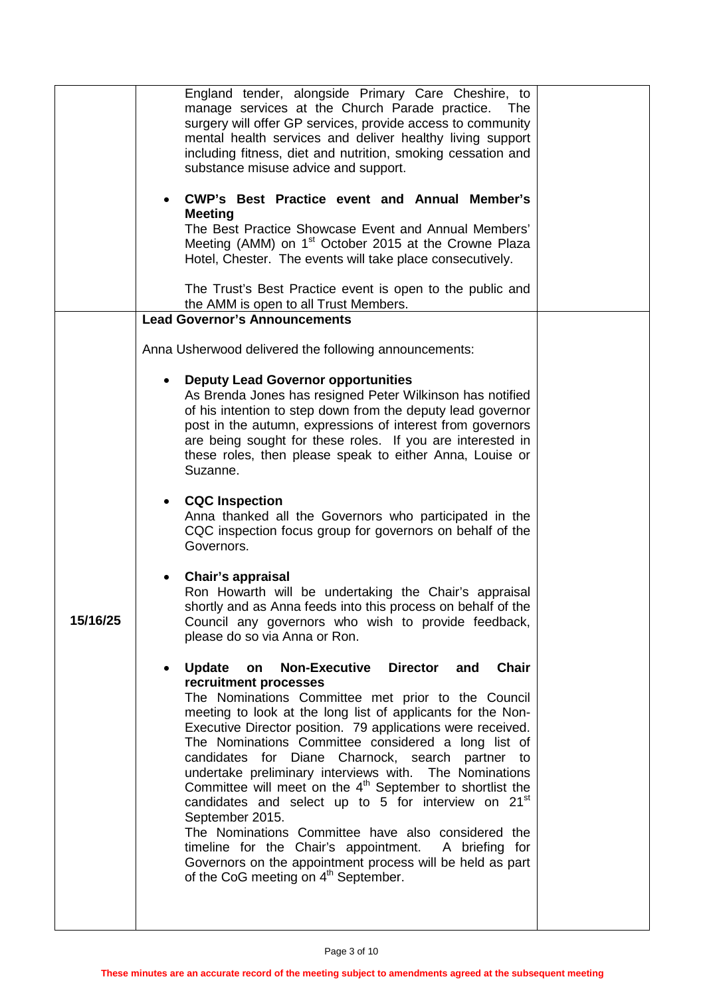|          | England tender, alongside Primary Care Cheshire, to<br>manage services at the Church Parade practice. The<br>surgery will offer GP services, provide access to community<br>mental health services and deliver healthy living support<br>including fitness, diet and nutrition, smoking cessation and<br>substance misuse advice and support.<br><b>CWP's Best Practice event and Annual Member's</b><br><b>Meeting</b><br>The Best Practice Showcase Event and Annual Members'<br>Meeting (AMM) on 1 <sup>st</sup> October 2015 at the Crowne Plaza<br>Hotel, Chester. The events will take place consecutively.<br>The Trust's Best Practice event is open to the public and                                                                                                                                                                              |  |
|----------|-------------------------------------------------------------------------------------------------------------------------------------------------------------------------------------------------------------------------------------------------------------------------------------------------------------------------------------------------------------------------------------------------------------------------------------------------------------------------------------------------------------------------------------------------------------------------------------------------------------------------------------------------------------------------------------------------------------------------------------------------------------------------------------------------------------------------------------------------------------|--|
|          | the AMM is open to all Trust Members.<br><b>Lead Governor's Announcements</b>                                                                                                                                                                                                                                                                                                                                                                                                                                                                                                                                                                                                                                                                                                                                                                               |  |
|          | Anna Usherwood delivered the following announcements:                                                                                                                                                                                                                                                                                                                                                                                                                                                                                                                                                                                                                                                                                                                                                                                                       |  |
|          | <b>Deputy Lead Governor opportunities</b><br>As Brenda Jones has resigned Peter Wilkinson has notified<br>of his intention to step down from the deputy lead governor<br>post in the autumn, expressions of interest from governors<br>are being sought for these roles. If you are interested in<br>these roles, then please speak to either Anna, Louise or<br>Suzanne.                                                                                                                                                                                                                                                                                                                                                                                                                                                                                   |  |
|          | <b>CQC</b> Inspection<br>Anna thanked all the Governors who participated in the<br>CQC inspection focus group for governors on behalf of the<br>Governors.                                                                                                                                                                                                                                                                                                                                                                                                                                                                                                                                                                                                                                                                                                  |  |
| 15/16/25 | Chair's appraisal<br>Ron Howarth will be undertaking the Chair's appraisal<br>shortly and as Anna feeds into this process on behalf of the<br>Council any governors who wish to provide feedback,<br>please do so via Anna or Ron.                                                                                                                                                                                                                                                                                                                                                                                                                                                                                                                                                                                                                          |  |
|          | <b>Chair</b><br><b>Update</b><br>on<br><b>Non-Executive</b><br><b>Director</b><br>and<br>recruitment processes<br>The Nominations Committee met prior to the Council<br>meeting to look at the long list of applicants for the Non-<br>Executive Director position. 79 applications were received.<br>The Nominations Committee considered a long list of<br>candidates for Diane Charnock, search partner to<br>undertake preliminary interviews with. The Nominations<br>Committee will meet on the $4th$ September to shortlist the<br>candidates and select up to 5 for interview on 21 <sup>st</sup><br>September 2015.<br>The Nominations Committee have also considered the<br>timeline for the Chair's appointment. A briefing for<br>Governors on the appointment process will be held as part<br>of the CoG meeting on 4 <sup>th</sup> September. |  |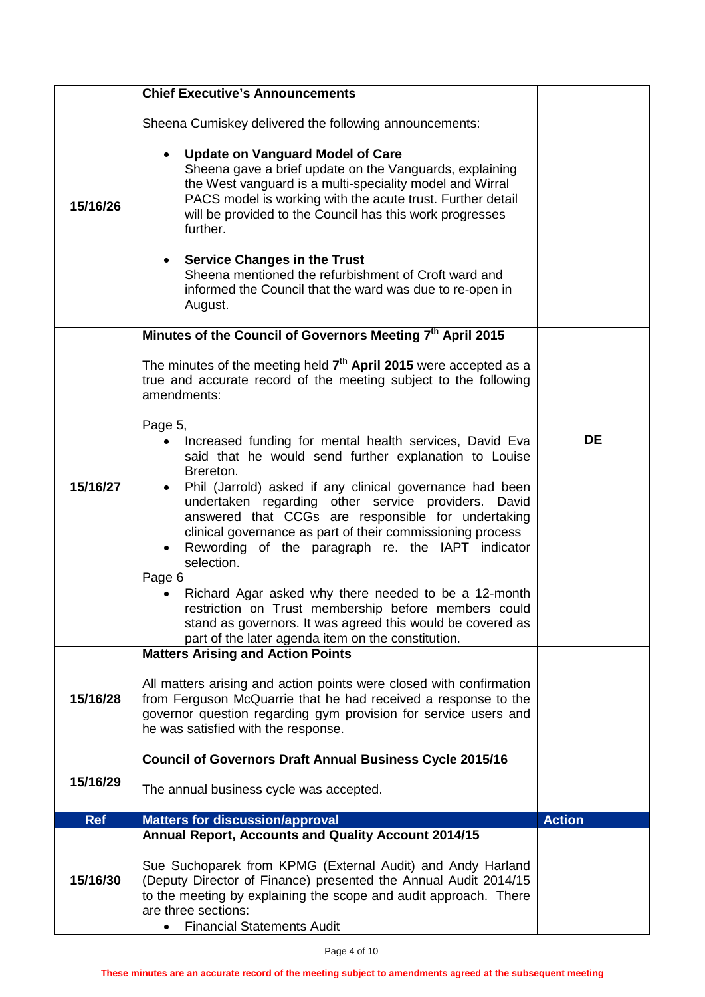|            | <b>Chief Executive's Announcements</b>                                                                                                                                                                                                                                                                                                      |               |
|------------|---------------------------------------------------------------------------------------------------------------------------------------------------------------------------------------------------------------------------------------------------------------------------------------------------------------------------------------------|---------------|
|            |                                                                                                                                                                                                                                                                                                                                             |               |
|            | Sheena Cumiskey delivered the following announcements:                                                                                                                                                                                                                                                                                      |               |
| 15/16/26   | <b>Update on Vanguard Model of Care</b><br>Sheena gave a brief update on the Vanguards, explaining<br>the West vanguard is a multi-speciality model and Wirral<br>PACS model is working with the acute trust. Further detail<br>will be provided to the Council has this work progresses<br>further.<br><b>Service Changes in the Trust</b> |               |
|            | Sheena mentioned the refurbishment of Croft ward and<br>informed the Council that the ward was due to re-open in<br>August.                                                                                                                                                                                                                 |               |
|            | Minutes of the Council of Governors Meeting 7th April 2015                                                                                                                                                                                                                                                                                  |               |
|            | The minutes of the meeting held $7th$ April 2015 were accepted as a<br>true and accurate record of the meeting subject to the following<br>amendments:                                                                                                                                                                                      |               |
|            | Page 5,<br>Increased funding for mental health services, David Eva<br>said that he would send further explanation to Louise<br>Brereton.                                                                                                                                                                                                    | <b>DE</b>     |
| 15/16/27   | Phil (Jarrold) asked if any clinical governance had been<br>undertaken regarding other service providers.<br>David<br>answered that CCGs are responsible for undertaking<br>clinical governance as part of their commissioning process<br>Rewording of the paragraph re. the IAPT indicator<br>selection.                                   |               |
|            | Page 6<br>Richard Agar asked why there needed to be a 12-month<br>restriction on Trust membership before members could<br>stand as governors. It was agreed this would be covered as<br>part of the later agenda item on the constitution.                                                                                                  |               |
|            | <b>Matters Arising and Action Points</b>                                                                                                                                                                                                                                                                                                    |               |
| 15/16/28   | All matters arising and action points were closed with confirmation<br>from Ferguson McQuarrie that he had received a response to the<br>governor question regarding gym provision for service users and<br>he was satisfied with the response.                                                                                             |               |
|            | <b>Council of Governors Draft Annual Business Cycle 2015/16</b>                                                                                                                                                                                                                                                                             |               |
| 15/16/29   | The annual business cycle was accepted.                                                                                                                                                                                                                                                                                                     |               |
| <b>Ref</b> | <b>Matters for discussion/approval</b>                                                                                                                                                                                                                                                                                                      | <b>Action</b> |
|            | Annual Report, Accounts and Quality Account 2014/15                                                                                                                                                                                                                                                                                         |               |
| 15/16/30   | Sue Suchoparek from KPMG (External Audit) and Andy Harland<br>(Deputy Director of Finance) presented the Annual Audit 2014/15<br>to the meeting by explaining the scope and audit approach. There<br>are three sections:<br><b>Financial Statements Audit</b>                                                                               |               |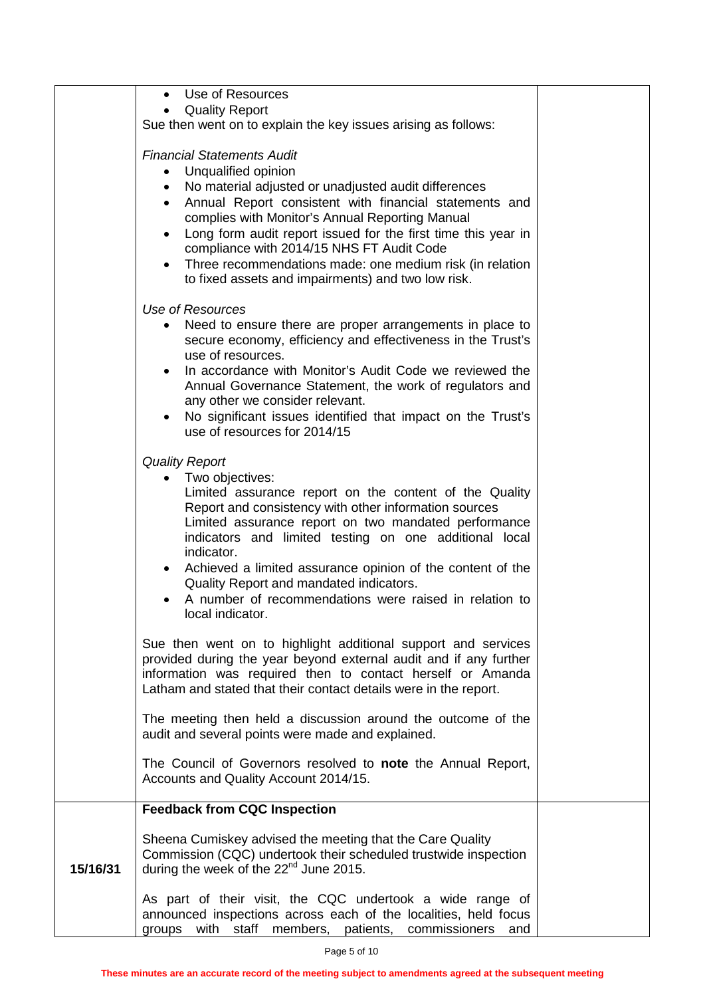|          | Use of Resources<br><b>Quality Report</b>                                                                                                                                                                                                                            |  |
|----------|----------------------------------------------------------------------------------------------------------------------------------------------------------------------------------------------------------------------------------------------------------------------|--|
|          | Sue then went on to explain the key issues arising as follows:                                                                                                                                                                                                       |  |
|          | <b>Financial Statements Audit</b>                                                                                                                                                                                                                                    |  |
|          | Unqualified opinion<br>٠<br>No material adjusted or unadjusted audit differences<br>$\bullet$                                                                                                                                                                        |  |
|          | Annual Report consistent with financial statements and                                                                                                                                                                                                               |  |
|          | complies with Monitor's Annual Reporting Manual                                                                                                                                                                                                                      |  |
|          | Long form audit report issued for the first time this year in<br>$\bullet$<br>compliance with 2014/15 NHS FT Audit Code                                                                                                                                              |  |
|          | Three recommendations made: one medium risk (in relation<br>to fixed assets and impairments) and two low risk.                                                                                                                                                       |  |
|          | Use of Resources                                                                                                                                                                                                                                                     |  |
|          | Need to ensure there are proper arrangements in place to<br>secure economy, efficiency and effectiveness in the Trust's<br>use of resources.                                                                                                                         |  |
|          | In accordance with Monitor's Audit Code we reviewed the<br>$\bullet$<br>Annual Governance Statement, the work of regulators and<br>any other we consider relevant.                                                                                                   |  |
|          | No significant issues identified that impact on the Trust's<br>use of resources for 2014/15                                                                                                                                                                          |  |
|          | <b>Quality Report</b>                                                                                                                                                                                                                                                |  |
|          | Two objectives:<br>$\bullet$<br>Limited assurance report on the content of the Quality                                                                                                                                                                               |  |
|          | Report and consistency with other information sources<br>Limited assurance report on two mandated performance<br>indicators and limited testing on one additional local<br>indicator.                                                                                |  |
|          | Achieved a limited assurance opinion of the content of the<br>Quality Report and mandated indicators.<br>A number of recommendations were raised in relation to<br>local indicator.                                                                                  |  |
|          | Sue then went on to highlight additional support and services<br>provided during the year beyond external audit and if any further<br>information was required then to contact herself or Amanda<br>Latham and stated that their contact details were in the report. |  |
|          | The meeting then held a discussion around the outcome of the<br>audit and several points were made and explained.                                                                                                                                                    |  |
|          | The Council of Governors resolved to note the Annual Report,<br>Accounts and Quality Account 2014/15.                                                                                                                                                                |  |
|          | <b>Feedback from CQC Inspection</b>                                                                                                                                                                                                                                  |  |
| 15/16/31 | Sheena Cumiskey advised the meeting that the Care Quality<br>Commission (CQC) undertook their scheduled trustwide inspection<br>during the week of the $22nd$ June 2015.                                                                                             |  |
|          | As part of their visit, the CQC undertook a wide range of<br>announced inspections across each of the localities, held focus<br>with staff members, patients, commissioners<br>groups<br>and                                                                         |  |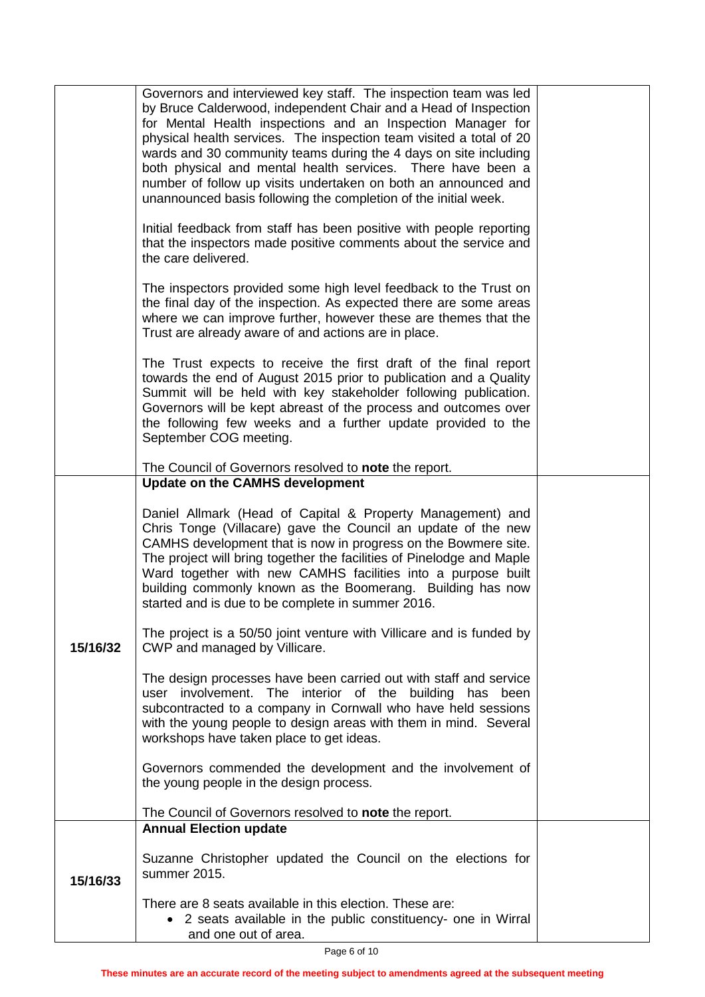|          | Governors and interviewed key staff. The inspection team was led<br>by Bruce Calderwood, independent Chair and a Head of Inspection<br>for Mental Health inspections and an Inspection Manager for<br>physical health services. The inspection team visited a total of 20<br>wards and 30 community teams during the 4 days on site including<br>both physical and mental health services. There have been a<br>number of follow up visits undertaken on both an announced and<br>unannounced basis following the completion of the initial week.<br>Initial feedback from staff has been positive with people reporting<br>that the inspectors made positive comments about the service and<br>the care delivered.<br>The inspectors provided some high level feedback to the Trust on<br>the final day of the inspection. As expected there are some areas<br>where we can improve further, however these are themes that the<br>Trust are already aware of and actions are in place. |  |
|----------|-----------------------------------------------------------------------------------------------------------------------------------------------------------------------------------------------------------------------------------------------------------------------------------------------------------------------------------------------------------------------------------------------------------------------------------------------------------------------------------------------------------------------------------------------------------------------------------------------------------------------------------------------------------------------------------------------------------------------------------------------------------------------------------------------------------------------------------------------------------------------------------------------------------------------------------------------------------------------------------------|--|
|          | The Trust expects to receive the first draft of the final report<br>towards the end of August 2015 prior to publication and a Quality<br>Summit will be held with key stakeholder following publication.<br>Governors will be kept abreast of the process and outcomes over<br>the following few weeks and a further update provided to the<br>September COG meeting.                                                                                                                                                                                                                                                                                                                                                                                                                                                                                                                                                                                                                   |  |
|          | The Council of Governors resolved to note the report.<br><b>Update on the CAMHS development</b>                                                                                                                                                                                                                                                                                                                                                                                                                                                                                                                                                                                                                                                                                                                                                                                                                                                                                         |  |
|          | Daniel Allmark (Head of Capital & Property Management) and<br>Chris Tonge (Villacare) gave the Council an update of the new<br>CAMHS development that is now in progress on the Bowmere site.<br>The project will bring together the facilities of Pinelodge and Maple<br>Ward together with new CAMHS facilities into a purpose built<br>building commonly known as the Boomerang. Building has now<br>started and is due to be complete in summer 2016.                                                                                                                                                                                                                                                                                                                                                                                                                                                                                                                               |  |
| 15/16/32 | The project is a 50/50 joint venture with Villicare and is funded by<br>CWP and managed by Villicare.                                                                                                                                                                                                                                                                                                                                                                                                                                                                                                                                                                                                                                                                                                                                                                                                                                                                                   |  |
|          | The design processes have been carried out with staff and service<br>user involvement. The interior of the building has been<br>subcontracted to a company in Cornwall who have held sessions<br>with the young people to design areas with them in mind. Several<br>workshops have taken place to get ideas.                                                                                                                                                                                                                                                                                                                                                                                                                                                                                                                                                                                                                                                                           |  |
|          | Governors commended the development and the involvement of<br>the young people in the design process.                                                                                                                                                                                                                                                                                                                                                                                                                                                                                                                                                                                                                                                                                                                                                                                                                                                                                   |  |
|          | The Council of Governors resolved to note the report.                                                                                                                                                                                                                                                                                                                                                                                                                                                                                                                                                                                                                                                                                                                                                                                                                                                                                                                                   |  |
|          | <b>Annual Election update</b>                                                                                                                                                                                                                                                                                                                                                                                                                                                                                                                                                                                                                                                                                                                                                                                                                                                                                                                                                           |  |
| 15/16/33 | Suzanne Christopher updated the Council on the elections for<br>summer 2015.                                                                                                                                                                                                                                                                                                                                                                                                                                                                                                                                                                                                                                                                                                                                                                                                                                                                                                            |  |
|          | There are 8 seats available in this election. These are:<br>• 2 seats available in the public constituency- one in Wirral<br>and one out of area.                                                                                                                                                                                                                                                                                                                                                                                                                                                                                                                                                                                                                                                                                                                                                                                                                                       |  |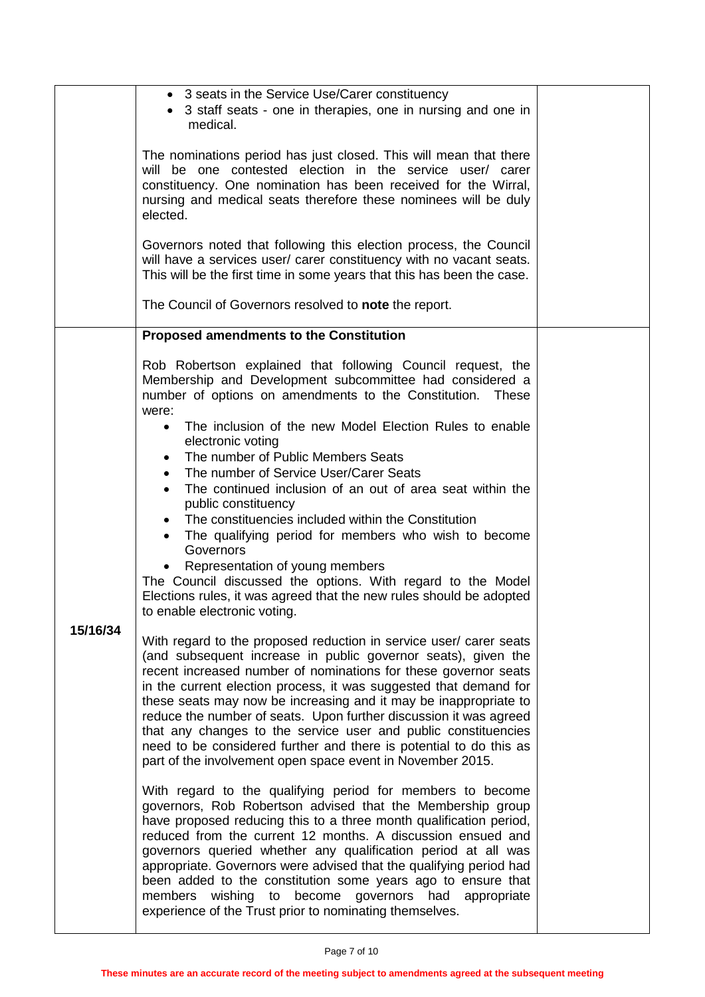|          | • 3 seats in the Service Use/Carer constituency<br>• 3 staff seats - one in therapies, one in nursing and one in<br>medical.<br>The nominations period has just closed. This will mean that there<br>will be one contested election in the service user/ carer<br>constituency. One nomination has been received for the Wirral,<br>nursing and medical seats therefore these nominees will be duly<br>elected.<br>Governors noted that following this election process, the Council<br>will have a services user/ carer constituency with no vacant seats.<br>This will be the first time in some years that this has been the case.<br>The Council of Governors resolved to note the report.                                                                                                                                                                                                                                                                                                                                                                                                                                                                                                                                                                                                                                                                                                                                                                                                                                                                                                                                                                                                                                                                                                                                                                                                                                                                                                                                               |  |
|----------|----------------------------------------------------------------------------------------------------------------------------------------------------------------------------------------------------------------------------------------------------------------------------------------------------------------------------------------------------------------------------------------------------------------------------------------------------------------------------------------------------------------------------------------------------------------------------------------------------------------------------------------------------------------------------------------------------------------------------------------------------------------------------------------------------------------------------------------------------------------------------------------------------------------------------------------------------------------------------------------------------------------------------------------------------------------------------------------------------------------------------------------------------------------------------------------------------------------------------------------------------------------------------------------------------------------------------------------------------------------------------------------------------------------------------------------------------------------------------------------------------------------------------------------------------------------------------------------------------------------------------------------------------------------------------------------------------------------------------------------------------------------------------------------------------------------------------------------------------------------------------------------------------------------------------------------------------------------------------------------------------------------------------------------------|--|
|          | <b>Proposed amendments to the Constitution</b>                                                                                                                                                                                                                                                                                                                                                                                                                                                                                                                                                                                                                                                                                                                                                                                                                                                                                                                                                                                                                                                                                                                                                                                                                                                                                                                                                                                                                                                                                                                                                                                                                                                                                                                                                                                                                                                                                                                                                                                               |  |
| 15/16/34 | Rob Robertson explained that following Council request, the<br>Membership and Development subcommittee had considered a<br>number of options on amendments to the Constitution.<br>These<br>were:<br>The inclusion of the new Model Election Rules to enable<br>$\bullet$<br>electronic voting<br>The number of Public Members Seats<br>The number of Service User/Carer Seats<br>$\bullet$<br>The continued inclusion of an out of area seat within the<br>public constituency<br>The constituencies included within the Constitution<br>The qualifying period for members who wish to become<br>Governors<br>Representation of young members<br>The Council discussed the options. With regard to the Model<br>Elections rules, it was agreed that the new rules should be adopted<br>to enable electronic voting.<br>With regard to the proposed reduction in service user/ carer seats<br>(and subsequent increase in public governor seats), given the<br>recent increased number of nominations for these governor seats<br>in the current election process, it was suggested that demand for<br>these seats may now be increasing and it may be inappropriate to<br>reduce the number of seats. Upon further discussion it was agreed<br>that any changes to the service user and public constituencies<br>need to be considered further and there is potential to do this as<br>part of the involvement open space event in November 2015.<br>With regard to the qualifying period for members to become<br>governors, Rob Robertson advised that the Membership group<br>have proposed reducing this to a three month qualification period,<br>reduced from the current 12 months. A discussion ensued and<br>governors queried whether any qualification period at all was<br>appropriate. Governors were advised that the qualifying period had<br>been added to the constitution some years ago to ensure that<br>members wishing to become governors had appropriate<br>experience of the Trust prior to nominating themselves. |  |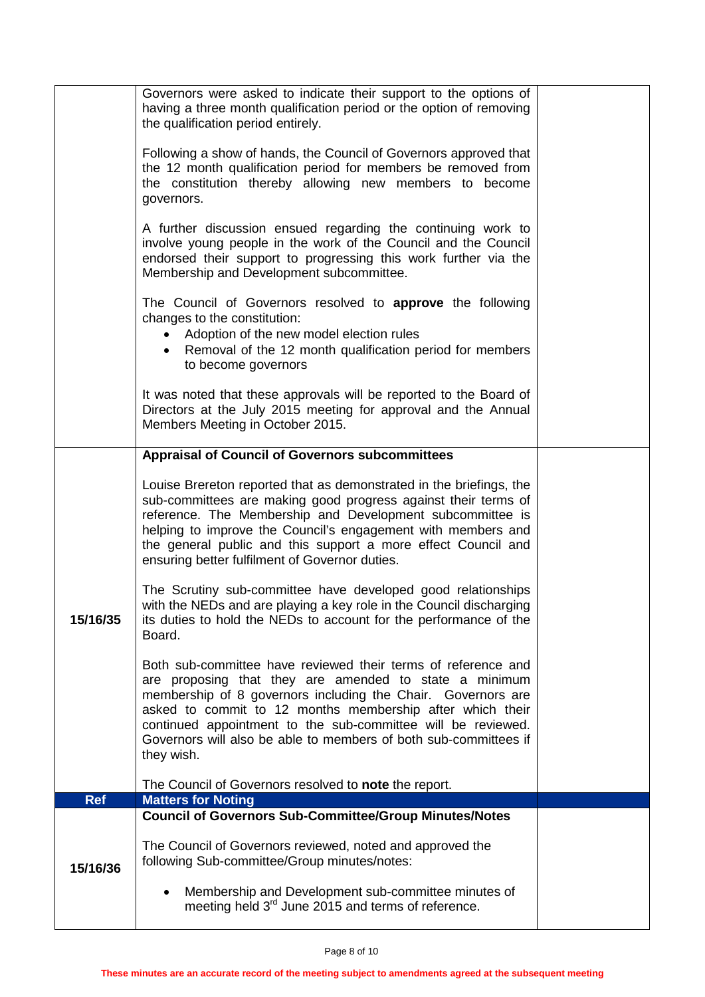|            | Governors were asked to indicate their support to the options of<br>having a three month qualification period or the option of removing<br>the qualification period entirely.                                                                                                                                                                                                                          |  |
|------------|--------------------------------------------------------------------------------------------------------------------------------------------------------------------------------------------------------------------------------------------------------------------------------------------------------------------------------------------------------------------------------------------------------|--|
|            | Following a show of hands, the Council of Governors approved that<br>the 12 month qualification period for members be removed from<br>the constitution thereby allowing new members to become<br>governors.                                                                                                                                                                                            |  |
|            | A further discussion ensued regarding the continuing work to<br>involve young people in the work of the Council and the Council<br>endorsed their support to progressing this work further via the<br>Membership and Development subcommittee.                                                                                                                                                         |  |
|            | The Council of Governors resolved to approve the following<br>changes to the constitution:<br>• Adoption of the new model election rules<br>• Removal of the 12 month qualification period for members<br>to become governors                                                                                                                                                                          |  |
|            | It was noted that these approvals will be reported to the Board of<br>Directors at the July 2015 meeting for approval and the Annual<br>Members Meeting in October 2015.                                                                                                                                                                                                                               |  |
|            | <b>Appraisal of Council of Governors subcommittees</b>                                                                                                                                                                                                                                                                                                                                                 |  |
|            | Louise Brereton reported that as demonstrated in the briefings, the<br>sub-committees are making good progress against their terms of<br>reference. The Membership and Development subcommittee is<br>helping to improve the Council's engagement with members and<br>the general public and this support a more effect Council and<br>ensuring better fulfilment of Governor duties.                  |  |
| 15/16/35   | The Scrutiny sub-committee have developed good relationships<br>with the NEDs and are playing a key role in the Council discharging<br>its duties to hold the NEDs to account for the performance of the<br>Board.                                                                                                                                                                                     |  |
|            | Both sub-committee have reviewed their terms of reference and<br>are proposing that they are amended to state a minimum<br>membership of 8 governors including the Chair. Governors are<br>asked to commit to 12 months membership after which their<br>continued appointment to the sub-committee will be reviewed.<br>Governors will also be able to members of both sub-committees if<br>they wish. |  |
|            | The Council of Governors resolved to note the report.                                                                                                                                                                                                                                                                                                                                                  |  |
| <b>Ref</b> | <b>Matters for Noting</b><br><b>Council of Governors Sub-Committee/Group Minutes/Notes</b>                                                                                                                                                                                                                                                                                                             |  |
| 15/16/36   | The Council of Governors reviewed, noted and approved the<br>following Sub-committee/Group minutes/notes:                                                                                                                                                                                                                                                                                              |  |
|            | Membership and Development sub-committee minutes of<br>meeting held 3 <sup>rd</sup> June 2015 and terms of reference.                                                                                                                                                                                                                                                                                  |  |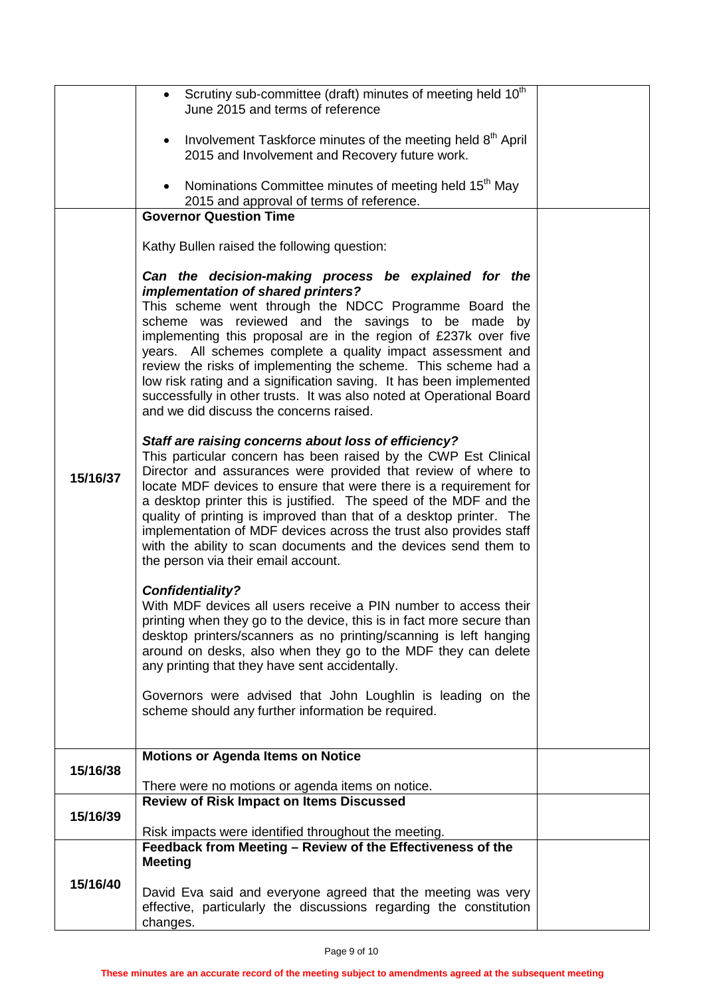|          | • Scrutiny sub-committee (draft) minutes of meeting held 10 <sup>th</sup><br>June 2015 and terms of reference                                                                                                                                                                                                                                                                                                                                                                                                                                                                                          |  |
|----------|--------------------------------------------------------------------------------------------------------------------------------------------------------------------------------------------------------------------------------------------------------------------------------------------------------------------------------------------------------------------------------------------------------------------------------------------------------------------------------------------------------------------------------------------------------------------------------------------------------|--|
|          | Involvement Taskforce minutes of the meeting held 8 <sup>th</sup> April<br>$\bullet$<br>2015 and Involvement and Recovery future work.                                                                                                                                                                                                                                                                                                                                                                                                                                                                 |  |
|          | Nominations Committee minutes of meeting held 15 <sup>th</sup> May<br>$\bullet$<br>2015 and approval of terms of reference.                                                                                                                                                                                                                                                                                                                                                                                                                                                                            |  |
|          | <b>Governor Question Time</b>                                                                                                                                                                                                                                                                                                                                                                                                                                                                                                                                                                          |  |
|          | Kathy Bullen raised the following question:                                                                                                                                                                                                                                                                                                                                                                                                                                                                                                                                                            |  |
|          | Can the decision-making process be explained for the<br>implementation of shared printers?<br>This scheme went through the NDCC Programme Board the<br>scheme was reviewed and the savings to be made by<br>implementing this proposal are in the region of £237k over five<br>years. All schemes complete a quality impact assessment and<br>review the risks of implementing the scheme. This scheme had a<br>low risk rating and a signification saving. It has been implemented<br>successfully in other trusts. It was also noted at Operational Board<br>and we did discuss the concerns raised. |  |
| 15/16/37 | Staff are raising concerns about loss of efficiency?<br>This particular concern has been raised by the CWP Est Clinical<br>Director and assurances were provided that review of where to<br>locate MDF devices to ensure that were there is a requirement for<br>a desktop printer this is justified. The speed of the MDF and the<br>quality of printing is improved than that of a desktop printer. The<br>implementation of MDF devices across the trust also provides staff<br>with the ability to scan documents and the devices send them to<br>the person via their email account.              |  |
|          | <b>Confidentiality?</b><br>With MDF devices all users receive a PIN number to access their<br>printing when they go to the device, this is in fact more secure than<br>desktop printers/scanners as no printing/scanning is left hanging<br>around on desks, also when they go to the MDF they can delete<br>any printing that they have sent accidentally.<br>Governors were advised that John Loughlin is leading on the<br>scheme should any further information be required.                                                                                                                       |  |
|          |                                                                                                                                                                                                                                                                                                                                                                                                                                                                                                                                                                                                        |  |
| 15/16/38 | <b>Motions or Agenda Items on Notice</b>                                                                                                                                                                                                                                                                                                                                                                                                                                                                                                                                                               |  |
|          | There were no motions or agenda items on notice.                                                                                                                                                                                                                                                                                                                                                                                                                                                                                                                                                       |  |
| 15/16/39 | <b>Review of Risk Impact on Items Discussed</b><br>Risk impacts were identified throughout the meeting.                                                                                                                                                                                                                                                                                                                                                                                                                                                                                                |  |
|          | Feedback from Meeting - Review of the Effectiveness of the                                                                                                                                                                                                                                                                                                                                                                                                                                                                                                                                             |  |
|          | <b>Meeting</b>                                                                                                                                                                                                                                                                                                                                                                                                                                                                                                                                                                                         |  |
| 15/16/40 | David Eva said and everyone agreed that the meeting was very<br>effective, particularly the discussions regarding the constitution<br>changes.                                                                                                                                                                                                                                                                                                                                                                                                                                                         |  |